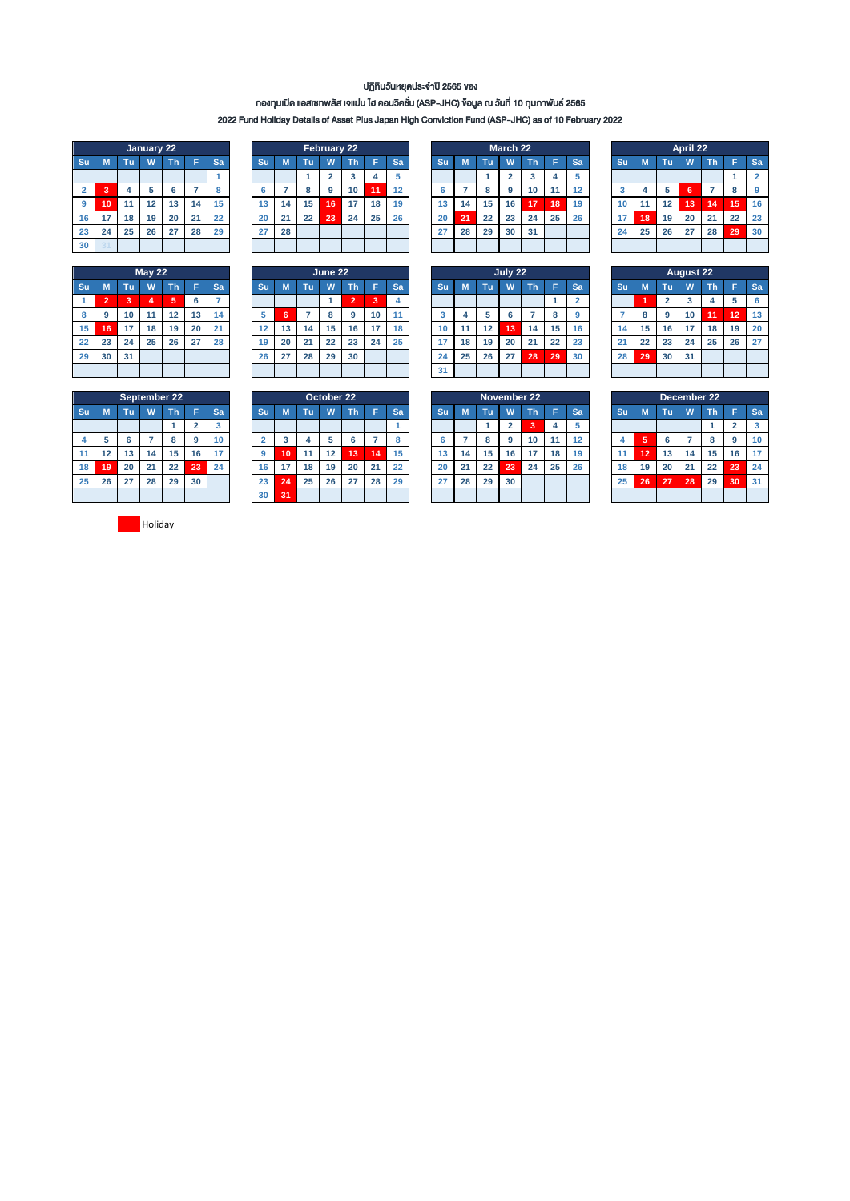## ปฏิทินวันหยุดประจำปี 2565 ของ

## กองทุนเปิด แอสเซทพลัส เจแปน ไฮ คอนวิคชั่น (ASP-JHC) ข้อมูล ณ วันที่ 10 กุมภำพันธ์ 2565

2022 Fund Holiday Details of Asset Plus Japan High Conviction Fund (ASP-JHC) as of 10 February 2022

|                         | <b>January 22</b>     |    |    |    |    |    |  |  |  |  |  |  |  |  |
|-------------------------|-----------------------|----|----|----|----|----|--|--|--|--|--|--|--|--|
| Su                      | M                     | Tu | W  | Th | Ē  | Sa |  |  |  |  |  |  |  |  |
|                         |                       |    |    |    |    |    |  |  |  |  |  |  |  |  |
| $\overline{\mathbf{2}}$ | 3<br>5<br>4<br>6<br>7 |    |    |    |    |    |  |  |  |  |  |  |  |  |
| 9                       | 10                    | 11 | 12 | 13 | 14 | 15 |  |  |  |  |  |  |  |  |
| 16                      | 17                    | 18 | 19 | 20 | 21 | 22 |  |  |  |  |  |  |  |  |
| 23                      | 24                    | 25 | 26 | 27 | 28 | 29 |  |  |  |  |  |  |  |  |
| 30                      | 34                    |    |    |    |    |    |  |  |  |  |  |  |  |  |

| May $22$ |                |    |    |    |    |    |  |  |  |  |  |  |  |
|----------|----------------|----|----|----|----|----|--|--|--|--|--|--|--|
| Su       | M              | Tu | W  | Th | Ë  | Sa |  |  |  |  |  |  |  |
|          | $\overline{2}$ | 3  | 4  | 5  | 6  |    |  |  |  |  |  |  |  |
| 8        | 9              | 10 | 11 | 12 | 13 | 14 |  |  |  |  |  |  |  |
| 15       | 16             | 17 | 18 | 19 | 20 | 21 |  |  |  |  |  |  |  |
| 22       | 23             | 24 | 25 | 26 | 27 | 28 |  |  |  |  |  |  |  |
| 29       | 30             | 31 |    |    |    |    |  |  |  |  |  |  |  |
|          |                |    |    |    |    |    |  |  |  |  |  |  |  |

| April 22 |                 |  |  |  |  |  |  |  |
|----------|-----------------|--|--|--|--|--|--|--|
|          | <b>Sa</b>       |  |  |  |  |  |  |  |
|          |                 |  |  |  |  |  |  |  |
|          | 9               |  |  |  |  |  |  |  |
| 15       | 16              |  |  |  |  |  |  |  |
| 22       | 23              |  |  |  |  |  |  |  |
| 29       | 30              |  |  |  |  |  |  |  |
|          |                 |  |  |  |  |  |  |  |
|          | \14<br>21<br>28 |  |  |  |  |  |  |  |

|    |                          |    | <b>May 22</b> |     |    |     |    | June 22 |    |    |                |    | July 22 |    |    |    |    |           |    |           | <b>August 22</b> |    |    |    |    |    |      |     |
|----|--------------------------|----|---------------|-----|----|-----|----|---------|----|----|----------------|----|---------|----|----|----|----|-----------|----|-----------|------------------|----|----|----|----|----|------|-----|
| Su | M                        | Tu | w             | π'n |    | Sar | Su |         | Τu | W  | Th             |    | Sa      | Su |    | Гu |    | <b>Th</b> |    | <b>Sa</b> |                  | Su |    | TΦ | w  | Τh |      | -Sa |
|    | $\overline{\phantom{a}}$ | 3  |               | (5) |    |     |    |         |    |    | $\overline{ }$ | 3  |         |    |    |    |    |           |    |           |                  |    |    |    |    |    |      | 6   |
| 8  |                          | 10 | 11            | 12  | 13 | 14  |    | 6       |    | ۰  | 9              | 10 |         | J. |    |    | 6  |           | 8  |           |                  |    |    | 9  | 10 | 11 | \12` | 13  |
| 15 | 16                       | 17 | 18            | 19  | 20 | 21  | 12 | 13      | 14 | 15 | 16             | 17 | 18      | 10 | 44 | 12 | 13 | 14        | 15 | 16        |                  | 14 | 15 | 16 | 17 | 18 | 19   | 20  |
| 22 | 23                       | 24 | 25            | 26  | 27 | 28  | 19 | 20      | 21 | 22 | 23             | 24 | 25      |    | 18 | 19 | 20 | 21        | 22 | 23        |                  | 21 | 22 | 23 | 24 | 25 | 26   | 27  |
| 29 | 30                       | 31 |               |     |    |     | 26 | 27      | 28 | 29 | 30             |    |         | 24 | 25 | 26 | 27 | 28        | 29 | 30        |                  | 28 | 29 | 30 | 31 |    |      |     |
|    |                          |    |               |     |    |     |    |         |    |    |                |    |         | 31 |    |    |    |           |    |           |                  |    |    |    |    |    |      |     |

|    | March 22 |    |                |    |    |    |  |  |  |  |  |  |  |
|----|----------|----|----------------|----|----|----|--|--|--|--|--|--|--|
| Su | M        | Tu | W              | Th | Ë  | Sa |  |  |  |  |  |  |  |
|    |          |    | $\overline{2}$ | 3  | 4  | 5  |  |  |  |  |  |  |  |
| 6  |          | 8  | 9              | 10 | 11 | 12 |  |  |  |  |  |  |  |
| 13 | 14       | 15 | 16             | 17 | 18 | 19 |  |  |  |  |  |  |  |
| 20 | 21       | 22 | 23             | 24 | 25 | 26 |  |  |  |  |  |  |  |
| 27 | 28       | 29 | 30             | 31 |    |    |  |  |  |  |  |  |  |
|    |          |    |                |    |    |    |  |  |  |  |  |  |  |

| July 22                    |                                                 |    |    |    |    |    |  |  |  |  |  |  |  |  |  |
|----------------------------|-------------------------------------------------|----|----|----|----|----|--|--|--|--|--|--|--|--|--|
| Su                         | Tu<br>W<br>M<br>Th<br>F<br>Sa<br>$\overline{2}$ |    |    |    |    |    |  |  |  |  |  |  |  |  |  |
|                            |                                                 |    |    |    |    |    |  |  |  |  |  |  |  |  |  |
| 5<br>3<br>4<br>8<br>6<br>7 |                                                 |    |    |    |    |    |  |  |  |  |  |  |  |  |  |
| 10                         | 15<br>12<br>13<br>14<br>11                      |    |    |    |    |    |  |  |  |  |  |  |  |  |  |
| 17                         | 18                                              | 19 | 20 | 21 | 22 | 23 |  |  |  |  |  |  |  |  |  |
| 24                         | 25                                              | 26 | 27 | 28 | 29 | 30 |  |  |  |  |  |  |  |  |  |
| 31                         |                                                 |    |    |    |    |    |  |  |  |  |  |  |  |  |  |

| April 22 |                               |    |    |    |    |                |  |  |  |  |  |  |  |  |
|----------|-------------------------------|----|----|----|----|----------------|--|--|--|--|--|--|--|--|
| Su       | Th<br>M<br>Tu<br>F<br>W<br>Sa |    |    |    |    |                |  |  |  |  |  |  |  |  |
|          |                               |    |    |    | 1  | $\overline{2}$ |  |  |  |  |  |  |  |  |
| 3        | 4                             | 5  | 6  |    | 8  | 9              |  |  |  |  |  |  |  |  |
| 10       | 11                            | 12 | 13 | 14 | 15 | 16             |  |  |  |  |  |  |  |  |
| 17       | 18                            | 19 | 20 | 21 | 22 | 23             |  |  |  |  |  |  |  |  |
| 24       | 25                            | 26 | 27 | 28 | 29 | 30             |  |  |  |  |  |  |  |  |
|          |                               |    |    |    |    |                |  |  |  |  |  |  |  |  |

|    | <b>August 22</b>               |                |    |    |    |    |  |  |  |  |  |  |  |  |
|----|--------------------------------|----------------|----|----|----|----|--|--|--|--|--|--|--|--|
| Su | Ë<br>Tu,<br>Th<br>M<br>W<br>Sa |                |    |    |    |    |  |  |  |  |  |  |  |  |
|    | 1                              | $\overline{2}$ | 3  | 4  | 5  | 6  |  |  |  |  |  |  |  |  |
|    | 8                              | 9              | 10 | 11 | 12 | 13 |  |  |  |  |  |  |  |  |
| 14 | 15                             | 16             | 17 | 18 | 19 | 20 |  |  |  |  |  |  |  |  |
| 21 | 22                             | 23             | 24 | 25 | 26 | 27 |  |  |  |  |  |  |  |  |
| 28 | 29                             | 30             | 31 |    |    |    |  |  |  |  |  |  |  |  |
|    |                                |                |    |    |    |    |  |  |  |  |  |  |  |  |

|    | <b>September 22</b>                |    |    |    |                |    |  |  |  |  |  |  |  |  |
|----|------------------------------------|----|----|----|----------------|----|--|--|--|--|--|--|--|--|
| Su | M                                  | Tu | W  | Th | Ë              | Sa |  |  |  |  |  |  |  |  |
|    |                                    |    |    |    | $\overline{2}$ | 3  |  |  |  |  |  |  |  |  |
| 4  | 5<br>6<br>8<br>9<br>$\overline{7}$ |    |    |    |                |    |  |  |  |  |  |  |  |  |
| 11 | 12                                 | 13 | 14 | 15 | 16             | 17 |  |  |  |  |  |  |  |  |
| 18 | 19                                 | 20 | 21 | 22 | 23             | 24 |  |  |  |  |  |  |  |  |
| 25 | 26                                 | 27 | 28 | 29 | 30             |    |  |  |  |  |  |  |  |  |
|    |                                    |    |    |    |                |    |  |  |  |  |  |  |  |  |

|    |    |    |    | September 22 |    |    | October 22<br>November 22 |    |    |    |    |    |    | December 22 |    |    |    |           |    |           |           |    |    |    |    |    |           |
|----|----|----|----|--------------|----|----|---------------------------|----|----|----|----|----|----|-------------|----|----|----|-----------|----|-----------|-----------|----|----|----|----|----|-----------|
|    | М  |    |    | 'n           |    | Sa | Su                        |    | гσ |    | Th |    | Sa | <b>Su</b>   |    | m  |    | <b>Th</b> |    | <b>Sa</b> | <b>Su</b> |    | Тm | W  |    |    | <b>Sa</b> |
|    |    |    |    |              |    | ۰a |                           |    |    |    |    |    |    |             |    |    |    |           |    |           |           |    |    |    |    |    | 3         |
| 4  |    |    |    |              | 9  | 10 |                           | œ  |    |    |    |    |    |             |    |    | 9  | 10        |    |           |           | æ  |    |    |    |    | 10        |
| 11 |    | 13 | 14 | 15           | 16 |    |                           | 10 |    | 12 | 13 | 14 | 15 | 13          | 14 | 15 | 16 |           | 18 | 19        |           | 12 | 13 | 14 | 15 | 16 | 17        |
| 18 | 19 | 20 | 21 | 22           | 23 | 24 | 16                        |    | 18 | 19 | 20 | 21 | 22 | 20          | 21 | 22 | 23 | 24        | 25 | 26        | 18        | 19 | 20 | 21 | 22 | 23 | 24        |
| 25 | 26 | 27 | 28 | 29           | 30 |    | 23                        | 24 | 25 | 26 | 27 | 28 | 29 | 27          | 28 | 29 | 30 |           |    |           | 25        | 26 | 27 | 28 | 29 | 30 | 31        |
|    |    |    |    |              |    |    | 30                        | 31 |    |    |    |    |    |             |    |    |    |           |    |           |           |    |    |    |    |    |           |

|    | November 22        |    |                |                |                |    |  |  |  |  |  |  |  |  |
|----|--------------------|----|----------------|----------------|----------------|----|--|--|--|--|--|--|--|--|
| Su | M                  | Tu | W              | Th             | F              | Sa |  |  |  |  |  |  |  |  |
|    |                    | 1  | $\overline{2}$ | $\overline{3}$ | $\overline{4}$ | 5  |  |  |  |  |  |  |  |  |
| 6  | 10<br>8<br>11<br>9 |    |                |                |                |    |  |  |  |  |  |  |  |  |
| 13 | 14                 | 15 | 16             | 17             | 18             | 19 |  |  |  |  |  |  |  |  |
| 20 | 21                 | 22 | 23             | 24             | 25             | 26 |  |  |  |  |  |  |  |  |
| 27 | 28                 | 29 | 30             |                |                |    |  |  |  |  |  |  |  |  |
|    |                    |    |                |                |                |    |  |  |  |  |  |  |  |  |

|                | December 22 |    |    |    |                         |                         |  |  |  |  |  |  |  |  |
|----------------|-------------|----|----|----|-------------------------|-------------------------|--|--|--|--|--|--|--|--|
| Su             | M           | Tu | W  | Th | F                       | Sa                      |  |  |  |  |  |  |  |  |
|                |             |    |    | 1  | $\overline{\mathbf{2}}$ | $\overline{\mathbf{3}}$ |  |  |  |  |  |  |  |  |
| $\overline{4}$ | 5           | 10 |    |    |                         |                         |  |  |  |  |  |  |  |  |
| 11             | 12          | 13 | 14 | 15 | 16                      | 17                      |  |  |  |  |  |  |  |  |
| 18             | 19          | 20 | 21 | 22 | 23                      | 24                      |  |  |  |  |  |  |  |  |
| 25             | 26          | 27 | 28 | 29 | 30                      | 31                      |  |  |  |  |  |  |  |  |
|                |             |    |    |    |                         |                         |  |  |  |  |  |  |  |  |

**Holiday**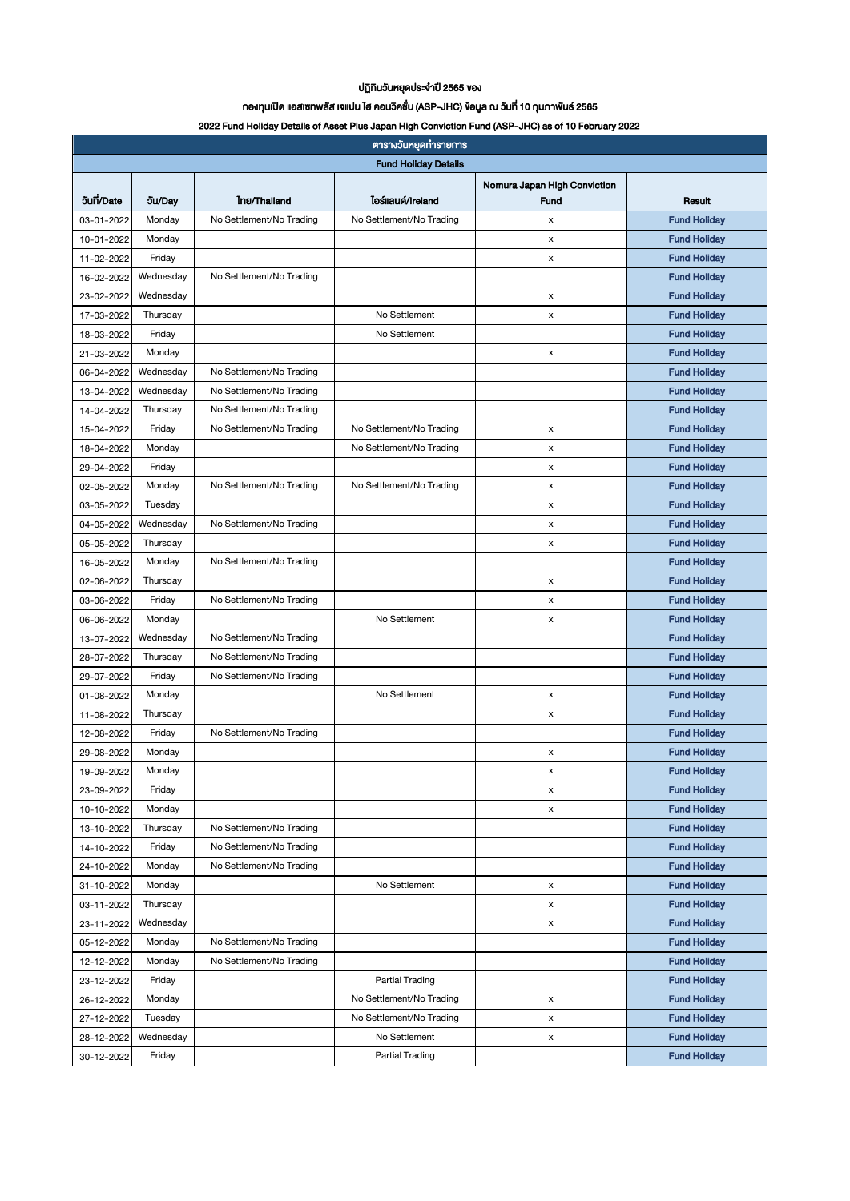## ปฏิทินวันหยุดประจำปี 2565 ของ

## กองทุนเปิด แอสเซทพลัส เจแปน ไฮ คอนวิคชั่น (ASP-JHC) ข้อมูล ณ วันที่ 10 กุมภำพันธ์ 2565

### 2022 Fund Holiday Details of Asset Plus Japan High Conviction Fund (ASP-JHC) as of 10 February 2022

| <b>Fund Holiday Details</b><br>Nomura Japan High Conviction<br>5un/Date<br>lośliauń/Ireland<br><b>Inu/Thailand</b><br>5u/Day<br>Result<br>Fund<br>No Settlement/No Trading<br><b>Fund Holiday</b><br>No Settlement/No Trading<br>03-01-2022<br>Monday<br>x<br><b>Fund Hollday</b><br>Monday<br>10-01-2022<br>x<br>Friday<br><b>Fund Holiday</b><br>x<br>11-02-2022<br><b>Fund Holiday</b><br>Wednesday<br>No Settlement/No Trading<br>16-02-2022<br>Wednesday<br><b>Fund Holiday</b><br>23-02-2022<br>x<br>Thursday<br>No Settlement<br><b>Fund Holiday</b><br>17-03-2022<br>x<br>Friday<br>No Settlement<br><b>Fund Holiday</b><br>18-03-2022<br><b>Fund Holiday</b><br>21-03-2022<br>Monday<br>x<br><b>Fund Holiday</b><br>06-04-2022<br>Wednesday<br>No Settlement/No Trading<br>No Settlement/No Trading<br><b>Fund Holiday</b><br>13-04-2022<br>Wednesday<br>No Settlement/No Trading<br><b>Fund Holiday</b><br>14-04-2022<br>Thursday<br>Friday<br>No Settlement/No Trading<br>No Settlement/No Trading<br><b>Fund Holiday</b><br>x<br>15-04-2022<br><b>Fund Hollday</b><br>Monday<br>No Settlement/No Trading<br>18-04-2022<br>x<br><b>Fund Holiday</b><br>29-04-2022<br>Friday<br>x<br>No Settlement/No Trading<br>No Settlement/No Trading<br><b>Fund Hollday</b><br>02-05-2022<br>Monday<br>x<br><b>Fund Holiday</b><br>03-05-2022<br>Tuesday<br>x<br>No Settlement/No Trading<br><b>Fund Holiday</b><br>04-05-2022<br>Wednesday<br>x<br><b>Fund Holiday</b><br>05-05-2022<br>Thursday<br>x<br>No Settlement/No Trading<br><b>Fund Holiday</b><br>Monday<br>16-05-2022<br><b>Fund Holiday</b><br>Thursday<br>02-06-2022<br>x<br>No Settlement/No Trading<br><b>Fund Holiday</b><br>Friday<br>x<br>03-06-2022<br>No Settlement<br><b>Fund Holiday</b><br>06-06-2022<br>Monday<br>x<br>Wednesday<br>No Settlement/No Trading<br><b>Fund Holiday</b><br>13-07-2022<br>No Settlement/No Trading<br><b>Fund Holiday</b><br>Thursday<br>28-07-2022<br>No Settlement/No Trading<br><b>Fund Holiday</b><br>29-07-2022<br>Friday<br>No Settlement<br><b>Fund Holiday</b><br>01-08-2022<br>Monday<br>x<br><b>Fund Holiday</b><br>Thursday<br>11-08-2022<br>x<br><b>Fund Hollday</b><br>No Settlement/No Trading<br>Friday<br>12-08-2022<br>Monday<br>x<br><b>Fund Holiday</b><br>29-08-2022<br><b>Fund Holiday</b><br>Monday<br>19-09-2022<br>х<br>Friday<br><b>Fund Holiday</b><br>23-09-2022<br>x<br><b>Fund Holiday</b><br>10-10-2022<br>Monday<br>x<br>Thursday<br>No Settlement/No Trading<br><b>Fund Holiday</b><br>13-10-2022<br>Friday<br>No Settlement/No Trading<br><b>Fund Holiday</b><br>14-10-2022<br>Monday<br>No Settlement/No Trading<br><b>Fund Holiday</b><br>24-10-2022<br>No Settlement<br>Monday<br><b>Fund Holiday</b><br>31-10-2022<br>x<br><b>Fund Holiday</b><br>Thursday<br>03-11-2022<br>x<br>Wednesday<br><b>Fund Holiday</b><br>23-11-2022<br>X<br><b>Fund Hollday</b><br>Monday<br>No Settlement/No Trading<br>05-12-2022<br>Monday<br>No Settlement/No Trading<br><b>Fund Holiday</b><br>12-12-2022<br><b>Fund Hollday</b><br>Friday<br>Partial Trading<br>23-12-2022<br>No Settlement/No Trading<br><b>Fund Holiday</b><br>26-12-2022<br>Monday<br>x<br>No Settlement/No Trading<br><b>Fund Holiday</b><br>27-12-2022<br>Tuesday<br>X<br>Wednesday<br>No Settlement<br><b>Fund Holiday</b><br>28-12-2022<br>x<br><b>Partial Trading</b><br><b>Fund Holiday</b><br>Friday | ตารางวันหยุดทำรายการ |  |  |  |  |  |  |  |  |  |
|----------------------------------------------------------------------------------------------------------------------------------------------------------------------------------------------------------------------------------------------------------------------------------------------------------------------------------------------------------------------------------------------------------------------------------------------------------------------------------------------------------------------------------------------------------------------------------------------------------------------------------------------------------------------------------------------------------------------------------------------------------------------------------------------------------------------------------------------------------------------------------------------------------------------------------------------------------------------------------------------------------------------------------------------------------------------------------------------------------------------------------------------------------------------------------------------------------------------------------------------------------------------------------------------------------------------------------------------------------------------------------------------------------------------------------------------------------------------------------------------------------------------------------------------------------------------------------------------------------------------------------------------------------------------------------------------------------------------------------------------------------------------------------------------------------------------------------------------------------------------------------------------------------------------------------------------------------------------------------------------------------------------------------------------------------------------------------------------------------------------------------------------------------------------------------------------------------------------------------------------------------------------------------------------------------------------------------------------------------------------------------------------------------------------------------------------------------------------------------------------------------------------------------------------------------------------------------------------------------------------------------------------------------------------------------------------------------------------------------------------------------------------------------------------------------------------------------------------------------------------------------------------------------------------------------------------------------------------------------------------------------------------------------------------------------------------------------------------------------------------------------------------------------------------------------------------------------------------------------------------------------------------------------------------------------------------------------------------------------------------------------------------------------|----------------------|--|--|--|--|--|--|--|--|--|
|                                                                                                                                                                                                                                                                                                                                                                                                                                                                                                                                                                                                                                                                                                                                                                                                                                                                                                                                                                                                                                                                                                                                                                                                                                                                                                                                                                                                                                                                                                                                                                                                                                                                                                                                                                                                                                                                                                                                                                                                                                                                                                                                                                                                                                                                                                                                                                                                                                                                                                                                                                                                                                                                                                                                                                                                                                                                                                                                                                                                                                                                                                                                                                                                                                                                                                                                                                                                          |                      |  |  |  |  |  |  |  |  |  |
|                                                                                                                                                                                                                                                                                                                                                                                                                                                                                                                                                                                                                                                                                                                                                                                                                                                                                                                                                                                                                                                                                                                                                                                                                                                                                                                                                                                                                                                                                                                                                                                                                                                                                                                                                                                                                                                                                                                                                                                                                                                                                                                                                                                                                                                                                                                                                                                                                                                                                                                                                                                                                                                                                                                                                                                                                                                                                                                                                                                                                                                                                                                                                                                                                                                                                                                                                                                                          |                      |  |  |  |  |  |  |  |  |  |
|                                                                                                                                                                                                                                                                                                                                                                                                                                                                                                                                                                                                                                                                                                                                                                                                                                                                                                                                                                                                                                                                                                                                                                                                                                                                                                                                                                                                                                                                                                                                                                                                                                                                                                                                                                                                                                                                                                                                                                                                                                                                                                                                                                                                                                                                                                                                                                                                                                                                                                                                                                                                                                                                                                                                                                                                                                                                                                                                                                                                                                                                                                                                                                                                                                                                                                                                                                                                          |                      |  |  |  |  |  |  |  |  |  |
|                                                                                                                                                                                                                                                                                                                                                                                                                                                                                                                                                                                                                                                                                                                                                                                                                                                                                                                                                                                                                                                                                                                                                                                                                                                                                                                                                                                                                                                                                                                                                                                                                                                                                                                                                                                                                                                                                                                                                                                                                                                                                                                                                                                                                                                                                                                                                                                                                                                                                                                                                                                                                                                                                                                                                                                                                                                                                                                                                                                                                                                                                                                                                                                                                                                                                                                                                                                                          |                      |  |  |  |  |  |  |  |  |  |
|                                                                                                                                                                                                                                                                                                                                                                                                                                                                                                                                                                                                                                                                                                                                                                                                                                                                                                                                                                                                                                                                                                                                                                                                                                                                                                                                                                                                                                                                                                                                                                                                                                                                                                                                                                                                                                                                                                                                                                                                                                                                                                                                                                                                                                                                                                                                                                                                                                                                                                                                                                                                                                                                                                                                                                                                                                                                                                                                                                                                                                                                                                                                                                                                                                                                                                                                                                                                          |                      |  |  |  |  |  |  |  |  |  |
|                                                                                                                                                                                                                                                                                                                                                                                                                                                                                                                                                                                                                                                                                                                                                                                                                                                                                                                                                                                                                                                                                                                                                                                                                                                                                                                                                                                                                                                                                                                                                                                                                                                                                                                                                                                                                                                                                                                                                                                                                                                                                                                                                                                                                                                                                                                                                                                                                                                                                                                                                                                                                                                                                                                                                                                                                                                                                                                                                                                                                                                                                                                                                                                                                                                                                                                                                                                                          |                      |  |  |  |  |  |  |  |  |  |
|                                                                                                                                                                                                                                                                                                                                                                                                                                                                                                                                                                                                                                                                                                                                                                                                                                                                                                                                                                                                                                                                                                                                                                                                                                                                                                                                                                                                                                                                                                                                                                                                                                                                                                                                                                                                                                                                                                                                                                                                                                                                                                                                                                                                                                                                                                                                                                                                                                                                                                                                                                                                                                                                                                                                                                                                                                                                                                                                                                                                                                                                                                                                                                                                                                                                                                                                                                                                          |                      |  |  |  |  |  |  |  |  |  |
|                                                                                                                                                                                                                                                                                                                                                                                                                                                                                                                                                                                                                                                                                                                                                                                                                                                                                                                                                                                                                                                                                                                                                                                                                                                                                                                                                                                                                                                                                                                                                                                                                                                                                                                                                                                                                                                                                                                                                                                                                                                                                                                                                                                                                                                                                                                                                                                                                                                                                                                                                                                                                                                                                                                                                                                                                                                                                                                                                                                                                                                                                                                                                                                                                                                                                                                                                                                                          |                      |  |  |  |  |  |  |  |  |  |
|                                                                                                                                                                                                                                                                                                                                                                                                                                                                                                                                                                                                                                                                                                                                                                                                                                                                                                                                                                                                                                                                                                                                                                                                                                                                                                                                                                                                                                                                                                                                                                                                                                                                                                                                                                                                                                                                                                                                                                                                                                                                                                                                                                                                                                                                                                                                                                                                                                                                                                                                                                                                                                                                                                                                                                                                                                                                                                                                                                                                                                                                                                                                                                                                                                                                                                                                                                                                          |                      |  |  |  |  |  |  |  |  |  |
|                                                                                                                                                                                                                                                                                                                                                                                                                                                                                                                                                                                                                                                                                                                                                                                                                                                                                                                                                                                                                                                                                                                                                                                                                                                                                                                                                                                                                                                                                                                                                                                                                                                                                                                                                                                                                                                                                                                                                                                                                                                                                                                                                                                                                                                                                                                                                                                                                                                                                                                                                                                                                                                                                                                                                                                                                                                                                                                                                                                                                                                                                                                                                                                                                                                                                                                                                                                                          |                      |  |  |  |  |  |  |  |  |  |
|                                                                                                                                                                                                                                                                                                                                                                                                                                                                                                                                                                                                                                                                                                                                                                                                                                                                                                                                                                                                                                                                                                                                                                                                                                                                                                                                                                                                                                                                                                                                                                                                                                                                                                                                                                                                                                                                                                                                                                                                                                                                                                                                                                                                                                                                                                                                                                                                                                                                                                                                                                                                                                                                                                                                                                                                                                                                                                                                                                                                                                                                                                                                                                                                                                                                                                                                                                                                          |                      |  |  |  |  |  |  |  |  |  |
|                                                                                                                                                                                                                                                                                                                                                                                                                                                                                                                                                                                                                                                                                                                                                                                                                                                                                                                                                                                                                                                                                                                                                                                                                                                                                                                                                                                                                                                                                                                                                                                                                                                                                                                                                                                                                                                                                                                                                                                                                                                                                                                                                                                                                                                                                                                                                                                                                                                                                                                                                                                                                                                                                                                                                                                                                                                                                                                                                                                                                                                                                                                                                                                                                                                                                                                                                                                                          |                      |  |  |  |  |  |  |  |  |  |
|                                                                                                                                                                                                                                                                                                                                                                                                                                                                                                                                                                                                                                                                                                                                                                                                                                                                                                                                                                                                                                                                                                                                                                                                                                                                                                                                                                                                                                                                                                                                                                                                                                                                                                                                                                                                                                                                                                                                                                                                                                                                                                                                                                                                                                                                                                                                                                                                                                                                                                                                                                                                                                                                                                                                                                                                                                                                                                                                                                                                                                                                                                                                                                                                                                                                                                                                                                                                          |                      |  |  |  |  |  |  |  |  |  |
|                                                                                                                                                                                                                                                                                                                                                                                                                                                                                                                                                                                                                                                                                                                                                                                                                                                                                                                                                                                                                                                                                                                                                                                                                                                                                                                                                                                                                                                                                                                                                                                                                                                                                                                                                                                                                                                                                                                                                                                                                                                                                                                                                                                                                                                                                                                                                                                                                                                                                                                                                                                                                                                                                                                                                                                                                                                                                                                                                                                                                                                                                                                                                                                                                                                                                                                                                                                                          |                      |  |  |  |  |  |  |  |  |  |
|                                                                                                                                                                                                                                                                                                                                                                                                                                                                                                                                                                                                                                                                                                                                                                                                                                                                                                                                                                                                                                                                                                                                                                                                                                                                                                                                                                                                                                                                                                                                                                                                                                                                                                                                                                                                                                                                                                                                                                                                                                                                                                                                                                                                                                                                                                                                                                                                                                                                                                                                                                                                                                                                                                                                                                                                                                                                                                                                                                                                                                                                                                                                                                                                                                                                                                                                                                                                          |                      |  |  |  |  |  |  |  |  |  |
|                                                                                                                                                                                                                                                                                                                                                                                                                                                                                                                                                                                                                                                                                                                                                                                                                                                                                                                                                                                                                                                                                                                                                                                                                                                                                                                                                                                                                                                                                                                                                                                                                                                                                                                                                                                                                                                                                                                                                                                                                                                                                                                                                                                                                                                                                                                                                                                                                                                                                                                                                                                                                                                                                                                                                                                                                                                                                                                                                                                                                                                                                                                                                                                                                                                                                                                                                                                                          |                      |  |  |  |  |  |  |  |  |  |
|                                                                                                                                                                                                                                                                                                                                                                                                                                                                                                                                                                                                                                                                                                                                                                                                                                                                                                                                                                                                                                                                                                                                                                                                                                                                                                                                                                                                                                                                                                                                                                                                                                                                                                                                                                                                                                                                                                                                                                                                                                                                                                                                                                                                                                                                                                                                                                                                                                                                                                                                                                                                                                                                                                                                                                                                                                                                                                                                                                                                                                                                                                                                                                                                                                                                                                                                                                                                          |                      |  |  |  |  |  |  |  |  |  |
|                                                                                                                                                                                                                                                                                                                                                                                                                                                                                                                                                                                                                                                                                                                                                                                                                                                                                                                                                                                                                                                                                                                                                                                                                                                                                                                                                                                                                                                                                                                                                                                                                                                                                                                                                                                                                                                                                                                                                                                                                                                                                                                                                                                                                                                                                                                                                                                                                                                                                                                                                                                                                                                                                                                                                                                                                                                                                                                                                                                                                                                                                                                                                                                                                                                                                                                                                                                                          |                      |  |  |  |  |  |  |  |  |  |
|                                                                                                                                                                                                                                                                                                                                                                                                                                                                                                                                                                                                                                                                                                                                                                                                                                                                                                                                                                                                                                                                                                                                                                                                                                                                                                                                                                                                                                                                                                                                                                                                                                                                                                                                                                                                                                                                                                                                                                                                                                                                                                                                                                                                                                                                                                                                                                                                                                                                                                                                                                                                                                                                                                                                                                                                                                                                                                                                                                                                                                                                                                                                                                                                                                                                                                                                                                                                          |                      |  |  |  |  |  |  |  |  |  |
|                                                                                                                                                                                                                                                                                                                                                                                                                                                                                                                                                                                                                                                                                                                                                                                                                                                                                                                                                                                                                                                                                                                                                                                                                                                                                                                                                                                                                                                                                                                                                                                                                                                                                                                                                                                                                                                                                                                                                                                                                                                                                                                                                                                                                                                                                                                                                                                                                                                                                                                                                                                                                                                                                                                                                                                                                                                                                                                                                                                                                                                                                                                                                                                                                                                                                                                                                                                                          |                      |  |  |  |  |  |  |  |  |  |
|                                                                                                                                                                                                                                                                                                                                                                                                                                                                                                                                                                                                                                                                                                                                                                                                                                                                                                                                                                                                                                                                                                                                                                                                                                                                                                                                                                                                                                                                                                                                                                                                                                                                                                                                                                                                                                                                                                                                                                                                                                                                                                                                                                                                                                                                                                                                                                                                                                                                                                                                                                                                                                                                                                                                                                                                                                                                                                                                                                                                                                                                                                                                                                                                                                                                                                                                                                                                          |                      |  |  |  |  |  |  |  |  |  |
|                                                                                                                                                                                                                                                                                                                                                                                                                                                                                                                                                                                                                                                                                                                                                                                                                                                                                                                                                                                                                                                                                                                                                                                                                                                                                                                                                                                                                                                                                                                                                                                                                                                                                                                                                                                                                                                                                                                                                                                                                                                                                                                                                                                                                                                                                                                                                                                                                                                                                                                                                                                                                                                                                                                                                                                                                                                                                                                                                                                                                                                                                                                                                                                                                                                                                                                                                                                                          |                      |  |  |  |  |  |  |  |  |  |
|                                                                                                                                                                                                                                                                                                                                                                                                                                                                                                                                                                                                                                                                                                                                                                                                                                                                                                                                                                                                                                                                                                                                                                                                                                                                                                                                                                                                                                                                                                                                                                                                                                                                                                                                                                                                                                                                                                                                                                                                                                                                                                                                                                                                                                                                                                                                                                                                                                                                                                                                                                                                                                                                                                                                                                                                                                                                                                                                                                                                                                                                                                                                                                                                                                                                                                                                                                                                          |                      |  |  |  |  |  |  |  |  |  |
|                                                                                                                                                                                                                                                                                                                                                                                                                                                                                                                                                                                                                                                                                                                                                                                                                                                                                                                                                                                                                                                                                                                                                                                                                                                                                                                                                                                                                                                                                                                                                                                                                                                                                                                                                                                                                                                                                                                                                                                                                                                                                                                                                                                                                                                                                                                                                                                                                                                                                                                                                                                                                                                                                                                                                                                                                                                                                                                                                                                                                                                                                                                                                                                                                                                                                                                                                                                                          |                      |  |  |  |  |  |  |  |  |  |
|                                                                                                                                                                                                                                                                                                                                                                                                                                                                                                                                                                                                                                                                                                                                                                                                                                                                                                                                                                                                                                                                                                                                                                                                                                                                                                                                                                                                                                                                                                                                                                                                                                                                                                                                                                                                                                                                                                                                                                                                                                                                                                                                                                                                                                                                                                                                                                                                                                                                                                                                                                                                                                                                                                                                                                                                                                                                                                                                                                                                                                                                                                                                                                                                                                                                                                                                                                                                          |                      |  |  |  |  |  |  |  |  |  |
|                                                                                                                                                                                                                                                                                                                                                                                                                                                                                                                                                                                                                                                                                                                                                                                                                                                                                                                                                                                                                                                                                                                                                                                                                                                                                                                                                                                                                                                                                                                                                                                                                                                                                                                                                                                                                                                                                                                                                                                                                                                                                                                                                                                                                                                                                                                                                                                                                                                                                                                                                                                                                                                                                                                                                                                                                                                                                                                                                                                                                                                                                                                                                                                                                                                                                                                                                                                                          |                      |  |  |  |  |  |  |  |  |  |
|                                                                                                                                                                                                                                                                                                                                                                                                                                                                                                                                                                                                                                                                                                                                                                                                                                                                                                                                                                                                                                                                                                                                                                                                                                                                                                                                                                                                                                                                                                                                                                                                                                                                                                                                                                                                                                                                                                                                                                                                                                                                                                                                                                                                                                                                                                                                                                                                                                                                                                                                                                                                                                                                                                                                                                                                                                                                                                                                                                                                                                                                                                                                                                                                                                                                                                                                                                                                          |                      |  |  |  |  |  |  |  |  |  |
|                                                                                                                                                                                                                                                                                                                                                                                                                                                                                                                                                                                                                                                                                                                                                                                                                                                                                                                                                                                                                                                                                                                                                                                                                                                                                                                                                                                                                                                                                                                                                                                                                                                                                                                                                                                                                                                                                                                                                                                                                                                                                                                                                                                                                                                                                                                                                                                                                                                                                                                                                                                                                                                                                                                                                                                                                                                                                                                                                                                                                                                                                                                                                                                                                                                                                                                                                                                                          |                      |  |  |  |  |  |  |  |  |  |
|                                                                                                                                                                                                                                                                                                                                                                                                                                                                                                                                                                                                                                                                                                                                                                                                                                                                                                                                                                                                                                                                                                                                                                                                                                                                                                                                                                                                                                                                                                                                                                                                                                                                                                                                                                                                                                                                                                                                                                                                                                                                                                                                                                                                                                                                                                                                                                                                                                                                                                                                                                                                                                                                                                                                                                                                                                                                                                                                                                                                                                                                                                                                                                                                                                                                                                                                                                                                          |                      |  |  |  |  |  |  |  |  |  |
|                                                                                                                                                                                                                                                                                                                                                                                                                                                                                                                                                                                                                                                                                                                                                                                                                                                                                                                                                                                                                                                                                                                                                                                                                                                                                                                                                                                                                                                                                                                                                                                                                                                                                                                                                                                                                                                                                                                                                                                                                                                                                                                                                                                                                                                                                                                                                                                                                                                                                                                                                                                                                                                                                                                                                                                                                                                                                                                                                                                                                                                                                                                                                                                                                                                                                                                                                                                                          |                      |  |  |  |  |  |  |  |  |  |
|                                                                                                                                                                                                                                                                                                                                                                                                                                                                                                                                                                                                                                                                                                                                                                                                                                                                                                                                                                                                                                                                                                                                                                                                                                                                                                                                                                                                                                                                                                                                                                                                                                                                                                                                                                                                                                                                                                                                                                                                                                                                                                                                                                                                                                                                                                                                                                                                                                                                                                                                                                                                                                                                                                                                                                                                                                                                                                                                                                                                                                                                                                                                                                                                                                                                                                                                                                                                          |                      |  |  |  |  |  |  |  |  |  |
|                                                                                                                                                                                                                                                                                                                                                                                                                                                                                                                                                                                                                                                                                                                                                                                                                                                                                                                                                                                                                                                                                                                                                                                                                                                                                                                                                                                                                                                                                                                                                                                                                                                                                                                                                                                                                                                                                                                                                                                                                                                                                                                                                                                                                                                                                                                                                                                                                                                                                                                                                                                                                                                                                                                                                                                                                                                                                                                                                                                                                                                                                                                                                                                                                                                                                                                                                                                                          |                      |  |  |  |  |  |  |  |  |  |
|                                                                                                                                                                                                                                                                                                                                                                                                                                                                                                                                                                                                                                                                                                                                                                                                                                                                                                                                                                                                                                                                                                                                                                                                                                                                                                                                                                                                                                                                                                                                                                                                                                                                                                                                                                                                                                                                                                                                                                                                                                                                                                                                                                                                                                                                                                                                                                                                                                                                                                                                                                                                                                                                                                                                                                                                                                                                                                                                                                                                                                                                                                                                                                                                                                                                                                                                                                                                          |                      |  |  |  |  |  |  |  |  |  |
|                                                                                                                                                                                                                                                                                                                                                                                                                                                                                                                                                                                                                                                                                                                                                                                                                                                                                                                                                                                                                                                                                                                                                                                                                                                                                                                                                                                                                                                                                                                                                                                                                                                                                                                                                                                                                                                                                                                                                                                                                                                                                                                                                                                                                                                                                                                                                                                                                                                                                                                                                                                                                                                                                                                                                                                                                                                                                                                                                                                                                                                                                                                                                                                                                                                                                                                                                                                                          |                      |  |  |  |  |  |  |  |  |  |
|                                                                                                                                                                                                                                                                                                                                                                                                                                                                                                                                                                                                                                                                                                                                                                                                                                                                                                                                                                                                                                                                                                                                                                                                                                                                                                                                                                                                                                                                                                                                                                                                                                                                                                                                                                                                                                                                                                                                                                                                                                                                                                                                                                                                                                                                                                                                                                                                                                                                                                                                                                                                                                                                                                                                                                                                                                                                                                                                                                                                                                                                                                                                                                                                                                                                                                                                                                                                          |                      |  |  |  |  |  |  |  |  |  |
|                                                                                                                                                                                                                                                                                                                                                                                                                                                                                                                                                                                                                                                                                                                                                                                                                                                                                                                                                                                                                                                                                                                                                                                                                                                                                                                                                                                                                                                                                                                                                                                                                                                                                                                                                                                                                                                                                                                                                                                                                                                                                                                                                                                                                                                                                                                                                                                                                                                                                                                                                                                                                                                                                                                                                                                                                                                                                                                                                                                                                                                                                                                                                                                                                                                                                                                                                                                                          |                      |  |  |  |  |  |  |  |  |  |
|                                                                                                                                                                                                                                                                                                                                                                                                                                                                                                                                                                                                                                                                                                                                                                                                                                                                                                                                                                                                                                                                                                                                                                                                                                                                                                                                                                                                                                                                                                                                                                                                                                                                                                                                                                                                                                                                                                                                                                                                                                                                                                                                                                                                                                                                                                                                                                                                                                                                                                                                                                                                                                                                                                                                                                                                                                                                                                                                                                                                                                                                                                                                                                                                                                                                                                                                                                                                          |                      |  |  |  |  |  |  |  |  |  |
|                                                                                                                                                                                                                                                                                                                                                                                                                                                                                                                                                                                                                                                                                                                                                                                                                                                                                                                                                                                                                                                                                                                                                                                                                                                                                                                                                                                                                                                                                                                                                                                                                                                                                                                                                                                                                                                                                                                                                                                                                                                                                                                                                                                                                                                                                                                                                                                                                                                                                                                                                                                                                                                                                                                                                                                                                                                                                                                                                                                                                                                                                                                                                                                                                                                                                                                                                                                                          |                      |  |  |  |  |  |  |  |  |  |
|                                                                                                                                                                                                                                                                                                                                                                                                                                                                                                                                                                                                                                                                                                                                                                                                                                                                                                                                                                                                                                                                                                                                                                                                                                                                                                                                                                                                                                                                                                                                                                                                                                                                                                                                                                                                                                                                                                                                                                                                                                                                                                                                                                                                                                                                                                                                                                                                                                                                                                                                                                                                                                                                                                                                                                                                                                                                                                                                                                                                                                                                                                                                                                                                                                                                                                                                                                                                          |                      |  |  |  |  |  |  |  |  |  |
|                                                                                                                                                                                                                                                                                                                                                                                                                                                                                                                                                                                                                                                                                                                                                                                                                                                                                                                                                                                                                                                                                                                                                                                                                                                                                                                                                                                                                                                                                                                                                                                                                                                                                                                                                                                                                                                                                                                                                                                                                                                                                                                                                                                                                                                                                                                                                                                                                                                                                                                                                                                                                                                                                                                                                                                                                                                                                                                                                                                                                                                                                                                                                                                                                                                                                                                                                                                                          |                      |  |  |  |  |  |  |  |  |  |
|                                                                                                                                                                                                                                                                                                                                                                                                                                                                                                                                                                                                                                                                                                                                                                                                                                                                                                                                                                                                                                                                                                                                                                                                                                                                                                                                                                                                                                                                                                                                                                                                                                                                                                                                                                                                                                                                                                                                                                                                                                                                                                                                                                                                                                                                                                                                                                                                                                                                                                                                                                                                                                                                                                                                                                                                                                                                                                                                                                                                                                                                                                                                                                                                                                                                                                                                                                                                          |                      |  |  |  |  |  |  |  |  |  |
|                                                                                                                                                                                                                                                                                                                                                                                                                                                                                                                                                                                                                                                                                                                                                                                                                                                                                                                                                                                                                                                                                                                                                                                                                                                                                                                                                                                                                                                                                                                                                                                                                                                                                                                                                                                                                                                                                                                                                                                                                                                                                                                                                                                                                                                                                                                                                                                                                                                                                                                                                                                                                                                                                                                                                                                                                                                                                                                                                                                                                                                                                                                                                                                                                                                                                                                                                                                                          |                      |  |  |  |  |  |  |  |  |  |
|                                                                                                                                                                                                                                                                                                                                                                                                                                                                                                                                                                                                                                                                                                                                                                                                                                                                                                                                                                                                                                                                                                                                                                                                                                                                                                                                                                                                                                                                                                                                                                                                                                                                                                                                                                                                                                                                                                                                                                                                                                                                                                                                                                                                                                                                                                                                                                                                                                                                                                                                                                                                                                                                                                                                                                                                                                                                                                                                                                                                                                                                                                                                                                                                                                                                                                                                                                                                          |                      |  |  |  |  |  |  |  |  |  |
|                                                                                                                                                                                                                                                                                                                                                                                                                                                                                                                                                                                                                                                                                                                                                                                                                                                                                                                                                                                                                                                                                                                                                                                                                                                                                                                                                                                                                                                                                                                                                                                                                                                                                                                                                                                                                                                                                                                                                                                                                                                                                                                                                                                                                                                                                                                                                                                                                                                                                                                                                                                                                                                                                                                                                                                                                                                                                                                                                                                                                                                                                                                                                                                                                                                                                                                                                                                                          |                      |  |  |  |  |  |  |  |  |  |
|                                                                                                                                                                                                                                                                                                                                                                                                                                                                                                                                                                                                                                                                                                                                                                                                                                                                                                                                                                                                                                                                                                                                                                                                                                                                                                                                                                                                                                                                                                                                                                                                                                                                                                                                                                                                                                                                                                                                                                                                                                                                                                                                                                                                                                                                                                                                                                                                                                                                                                                                                                                                                                                                                                                                                                                                                                                                                                                                                                                                                                                                                                                                                                                                                                                                                                                                                                                                          |                      |  |  |  |  |  |  |  |  |  |
|                                                                                                                                                                                                                                                                                                                                                                                                                                                                                                                                                                                                                                                                                                                                                                                                                                                                                                                                                                                                                                                                                                                                                                                                                                                                                                                                                                                                                                                                                                                                                                                                                                                                                                                                                                                                                                                                                                                                                                                                                                                                                                                                                                                                                                                                                                                                                                                                                                                                                                                                                                                                                                                                                                                                                                                                                                                                                                                                                                                                                                                                                                                                                                                                                                                                                                                                                                                                          |                      |  |  |  |  |  |  |  |  |  |
|                                                                                                                                                                                                                                                                                                                                                                                                                                                                                                                                                                                                                                                                                                                                                                                                                                                                                                                                                                                                                                                                                                                                                                                                                                                                                                                                                                                                                                                                                                                                                                                                                                                                                                                                                                                                                                                                                                                                                                                                                                                                                                                                                                                                                                                                                                                                                                                                                                                                                                                                                                                                                                                                                                                                                                                                                                                                                                                                                                                                                                                                                                                                                                                                                                                                                                                                                                                                          |                      |  |  |  |  |  |  |  |  |  |
|                                                                                                                                                                                                                                                                                                                                                                                                                                                                                                                                                                                                                                                                                                                                                                                                                                                                                                                                                                                                                                                                                                                                                                                                                                                                                                                                                                                                                                                                                                                                                                                                                                                                                                                                                                                                                                                                                                                                                                                                                                                                                                                                                                                                                                                                                                                                                                                                                                                                                                                                                                                                                                                                                                                                                                                                                                                                                                                                                                                                                                                                                                                                                                                                                                                                                                                                                                                                          | 30-12-2022           |  |  |  |  |  |  |  |  |  |